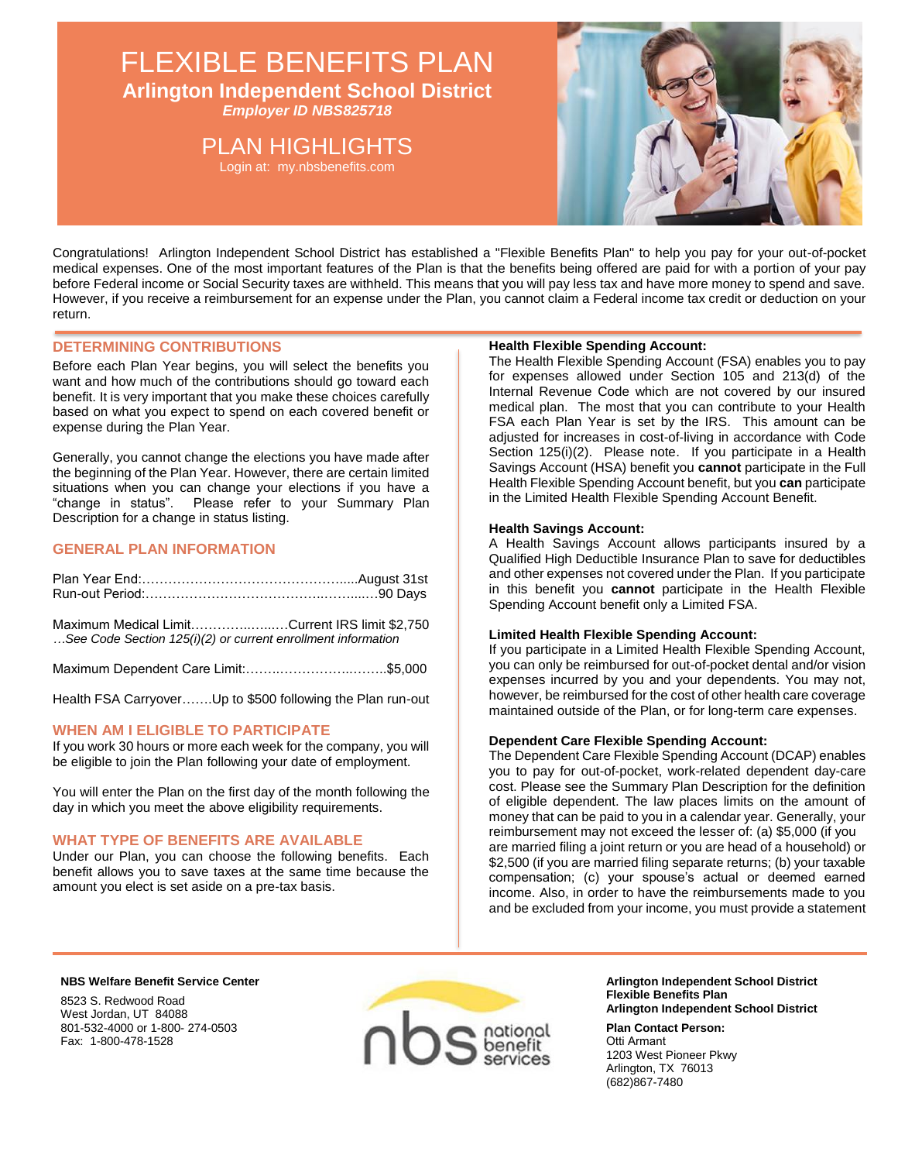## FLEXIBLE BENEFITS PLAN **Arlington Independent School District**

*Employer ID NBS825718*

## PLAN HIGHLIGHTS

Login at: my.nbsbenefits.com



Congratulations! Arlington Independent School District has established a "Flexible Benefits Plan" to help you pay for your out-of-pocket medical expenses. One of the most important features of the Plan is that the benefits being offered are paid for with a portion of your pay before Federal income or Social Security taxes are withheld. This means that you will pay less tax and have more money to spend and save. However, if you receive a reimbursement for an expense under the Plan, you cannot claim a Federal income tax credit or deduction on your return.

## **DETERMINING CONTRIBUTIONS**

Before each Plan Year begins, you will select the benefits you want and how much of the contributions should go toward each benefit. It is very important that you make these choices carefully based on what you expect to spend on each covered benefit or expense during the Plan Year.

Generally, you cannot change the elections you have made after the beginning of the Plan Year. However, there are certain limited situations when you can change your elections if you have a "change in status". Please refer to your Summary Plan Description for a change in status listing.

## **GENERAL PLAN INFORMATION**

| Maximum Medical LimitCurrent IRS limit \$2,750<br>See Code Section 125(i)(2) or current enrollment information |  |
|----------------------------------------------------------------------------------------------------------------|--|
|                                                                                                                |  |

Health FSA Carryover…….Up to \$500 following the Plan run-out

## **WHEN AM I ELIGIBLE TO PARTICIPATE**

If you work 30 hours or more each week for the company, you will be eligible to join the Plan following your date of employment.

You will enter the Plan on the first day of the month following the day in which you meet the above eligibility requirements.

## **WHAT TYPE OF BENEFITS ARE AVAILABLE**

Under our Plan, you can choose the following benefits. Each benefit allows you to save taxes at the same time because the amount you elect is set aside on a pre-tax basis.

### **Health Flexible Spending Account:**

The Health Flexible Spending Account (FSA) enables you to pay for expenses allowed under Section 105 and 213(d) of the Internal Revenue Code which are not covered by our insured medical plan. The most that you can contribute to your Health FSA each Plan Year is set by the IRS. This amount can be adjusted for increases in cost-of-living in accordance with Code Section 125(i)(2). Please note. If you participate in a Health Savings Account (HSA) benefit you **cannot** participate in the Full Health Flexible Spending Account benefit, but you **can** participate in the Limited Health Flexible Spending Account Benefit.

### **Health Savings Account:**

A Health Savings Account allows participants insured by a Qualified High Deductible Insurance Plan to save for deductibles and other expenses not covered under the Plan. If you participate in this benefit you **cannot** participate in the Health Flexible Spending Account benefit only a Limited FSA.

## **Limited Health Flexible Spending Account:**

If you participate in a Limited Health Flexible Spending Account, you can only be reimbursed for out-of-pocket dental and/or vision expenses incurred by you and your dependents. You may not, however, be reimbursed for the cost of other health care coverage maintained outside of the Plan, or for long-term care expenses.

## **Dependent Care Flexible Spending Account:**

The Dependent Care Flexible Spending Account (DCAP) enables you to pay for out-of-pocket, work-related dependent day-care cost. Please see the Summary Plan Description for the definition of eligible dependent. The law places limits on the amount of money that can be paid to you in a calendar year. Generally, your reimbursement may not exceed the lesser of: (a) \$5,000 (if you are married filing a joint return or you are head of a household) or \$2,500 (if you are married filing separate returns; (b) your taxable compensation; (c) your spouse's actual or deemed earned income. Also, in order to have the reimbursements made to you and be excluded from your income, you must provide a statement

#### **NBS Welfare Benefit Service Center**

8523 S. Redwood Road West Jordan, UT 84088 801-532-4000 or 1-800- 274-0503 Fax: 1-800-478-1528



**Arlington Independent School District Flexible Benefits Plan Arlington Independent School District** 

**Plan Contact Person:**  Otti Armant 1203 West Pioneer Pkwy Arlington, TX 76013 (682)867-7480